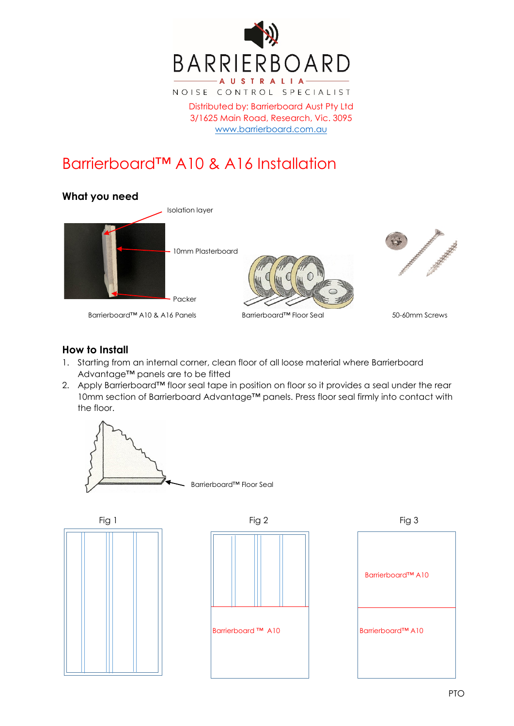

Distributed by: Barrierboard Aust Pty Ltd 3/1625 Main Road, Research, Vic. 3095 [www.barrierboard.com.au](http://www.barrierboard.com.au/)

## Barrierboard™ A10 & A16 Installation



## **How to Install**

- 1. Starting from an internal corner, clean floor of all loose material where Barrierboard Advantage™ panels are to be fitted
- 2. Apply Barrierboard™ floor seal tape in position on floor so it provides a seal under the rear 10mm section of Barrierboard Advantage™ panels. Press floor seal firmly into contact with the floor.







Barrierboard™ A10